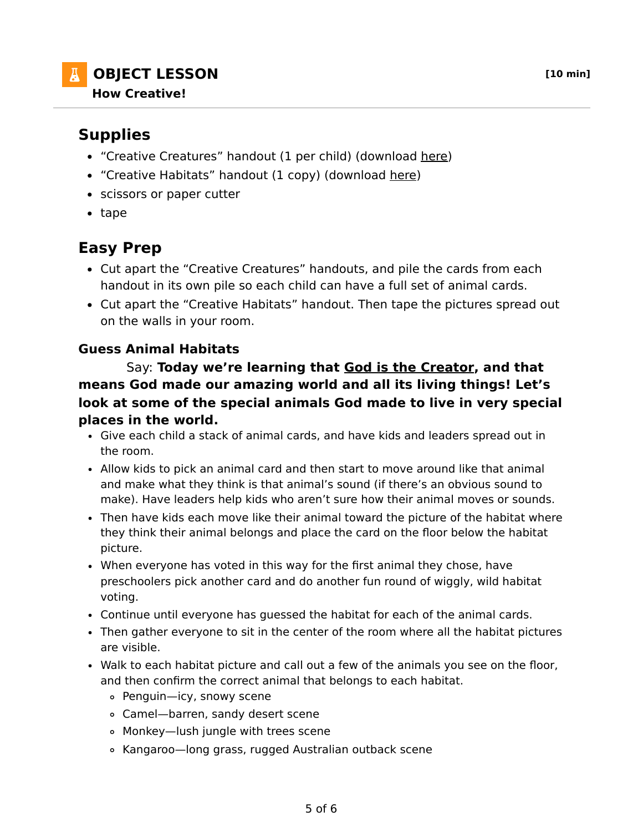**OBJECT LESSON [10 min] How Creative!**

## **Supplies**

- "Creative Creatures" handout (1 per child) (download here)
- "Creative Habitats" handout (1 copy) (download here)
- scissors or paper cutter
- tape

## **Easy Prep**

- Cut apart the "Creative Creatures" handouts, and pile the cards from each handout in its own pile so each child can have a full set of animal cards.
- Cut apart the "Creative Habitats" handout. Then tape the pictures spread out on the walls in your room.

## **Guess Animal Habitats**

 Say: **Today we're learning that God is the Creator, and that means God made our amazing world and all its living things! Let's look at some of the special animals God made to live in very special places in the world.**

- Give each child a stack of animal cards, and have kids and leaders spread out in the room.
- Allow kids to pick an animal card and then start to move around like that animal and make what they think is that animal's sound (if there's an obvious sound to make). Have leaders help kids who aren't sure how their animal moves or sounds.
- Then have kids each move like their animal toward the picture of the habitat where they think their animal belongs and place the card on the floor below the habitat picture.
- When everyone has voted in this way for the first animal they chose, have preschoolers pick another card and do another fun round of wiggly, wild habitat voting.
- Continue until everyone has guessed the habitat for each of the animal cards.
- Then gather everyone to sit in the center of the room where all the habitat pictures are visible.
- Walk to each habitat picture and call out a few of the animals you see on the floor, and then confirm the correct animal that belongs to each habitat.
	- Penguin—icy, snowy scene
	- Camel—barren, sandy desert scene
	- Monkey—lush jungle with trees scene
	- Kangaroo—long grass, rugged Australian outback scene